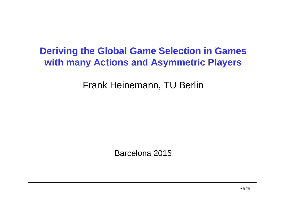#### **Deriving the Global Game Selection in Games with many Actions and Asymmetric Players**

Frank Heinemann, TU Berlin

Barcelona 2015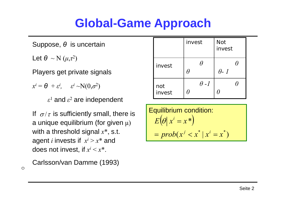#### **Global-Game Approach**

Suppose, *θ* is uncertain

Let  $\theta \, \sim \mathrm{N} \, (\mu, \tau^2)$ 

Players get private signals

 $x^i = \theta + \varepsilon^i$ ,  $\varepsilon^i \sim N(0, \sigma^2)$ 

 $\varepsilon^1$  and  $\varepsilon^2$  are independent

If  $\sigma/\tau$  is sufficiently small, there is  $\left\|\frac{\mathsf{Equilibrium~condition:}}{\sigma/\tau}\right\|$ a unique equilibrium (for given  $\mu)$ with a threshold signal *<sup>x</sup>*\*, s.t. agent *i* invests if *<sup>x</sup><sup>i</sup>* > *x*\* and does not invest, if *<sup>x</sup><sup>i</sup>* < *<sup>x</sup>*\*.

Carlsson/van Damme (1993)

 $\circ$ 

|               | invest      | <b>Not</b><br>invest |
|---------------|-------------|----------------------|
| invest        |             | $\theta$ - 1         |
| not<br>invest | $\theta$ -1 |                      |

Equilibrium condition:

\n
$$
E\left(\theta \mid x^{i} = x^{*}\right)
$$
\n
$$
= prob(x^{j} < x^{*} \mid x^{i} = x^{*})
$$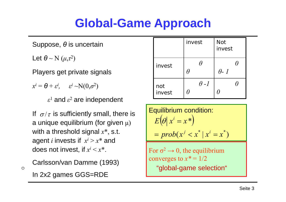#### **Global-Game Approach**

Suppose, *θ* is uncertain

Let  $\theta$  ~ N  $(\mu,\tau^2)$ 

Players get private signals

 $x^i = \theta + \varepsilon^i$ ,  $\varepsilon^i \sim N(0, \sigma^2)$ 

 $\varepsilon^1$  and  $\varepsilon^2$  are independent

If  $\sigma/\tau$  is sufficiently small, there is a unique equilibrium (for given  $\mu)$ with a threshold signal *<sup>x</sup>*\*, s.t. agent *i* invests if *<sup>x</sup><sup>i</sup>* > *x*\* and does not invest, if *<sup>x</sup><sup>i</sup>* < *<sup>x</sup>*\*.

Carlsson/van Damme (1993)

In 2x2 games GGS=RDE

 $\circ$ 

|               | invest      | <b>Not</b><br>invest |
|---------------|-------------|----------------------|
| invest        |             | $\theta$ - 1         |
| not<br>invest | $\theta$ -1 |                      |

Equilibrium condition:  $\left(\theta\right|x^i=x^*)$  $prob(x^j < x^* | x^i = x^*)$ \* $E[\theta | x^i = x]$  $j = prob(x^{j} < x^* | x^{i} =$  $\theta x^i =$ 

For  $\sigma^2$  $\rightarrow$  0, the equilibrium converges to  $x^* = 1/2$ "global-game selection"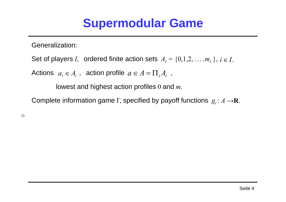#### **Supermodular Game**

Generalization:

Set of players *I*, ordered finite action sets  $A_i = \{0,1,2,\,\ldots,m_i\,\},\ i\in I.$ 

Actions  $a_i \in A_i$ , action profile  $a \in A = \prod_i A_i$ ,

lowest and highest action profiles 0 and *m*.

Complete information game  $\Gamma$ , specified by payoff functions  $\,g_i \colon A \longrightarrow \mathbf R.$ 

 $\circ$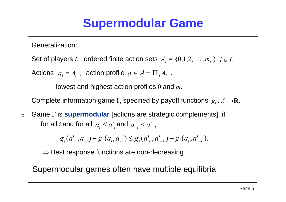#### **Supermodular Game**

Generalization:

Set of players *I*, ordered finite action sets  $A_i = \{0,1,2,\,\ldots,m_i\,\},\ i\in I.$ 

Actions  $a_i \in A_i$ , action profile  $a \in A = \prod_i A_i$ ,

lowest and highest action profiles 0 and *m*.

Complete information game  $\Gamma$ , specified by payoff functions  $\,g_i \colon A \longrightarrow \mathbf R.$ 

Game Γ is **supermodular** [actions are strategic complements], if  $\circ$ for all  $i$  and for all  $\ a_{_i}\leq a{^{\scriptscriptstyle\prime}}_i$  and  $\ a_{_{-i}}\leq a{^{\scriptscriptstyle\prime}}_{_{-i}}$  :

 $g_i(a'_i, a_{-i}) - g_i(a_i, a_{-i}) \leq g_i(a'_i, a'_{-i}) - g_i(a_i, a'_{-i}).$ 

 $\Rightarrow$  Best response functions are non-decreasing.

Supermodular games often have multiple equilibria.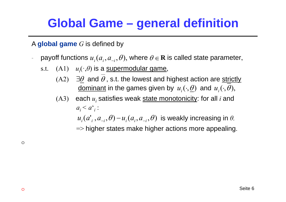#### **Global Game – general definition**

A **global game** *G* is defined by

- -- payoff functions  $u_{_i}(a_{_i},a_{_{-i}},\theta),$  where  $\theta$   $\in$  **R** is called state parameter,
	- s.t. (A1)  $u_i(\cdot ,\theta)$  is a <u>supermodular game</u>,
		- $(A2) \quad \exists \theta \text{ and } \theta$  , s.t. the lowest and highest action are strictly <u>dominant</u> in the games given by  $\,u_{_i}(\cdot, \underline{\theta})\,$  and  $\,u_{_i}(\cdot, \theta),\,$
		- $\left( \mathrm{A3}\right)$   $\;$  each  $u_{i}$  satisfies weak <u>state monotonicity</u>: for all  $i$  and  $a_i < a_{i}$ <sup>c</sup>
			- $u_i(a_i^*, a_{-i} , \theta) \!-\! u_i(a_i, a_{-i} , \theta)$  is weakly increasing in  $\theta.$
			- $\Rightarrow$  higher states make higher actions more appealing.

 $\circ$ 

 $\circ$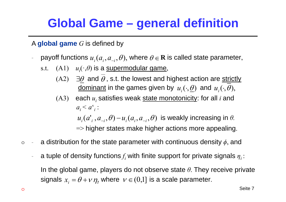#### **Global Game – general definition**

A **global game** *G* is defined by

- --  $\;\;$  payoff functions  $u_{_i}(a_{_i},a_{_{-i}},\theta),$  where  $\theta$   $\in$  **R** is called state parameter,
	- s.t. (A1)  $u_i(\cdot ,\theta)$  is a <u>supermodular game</u>,
		- $\left( \mathrm{A2}\right) \quad \exists\theta \; \textsf{and}\; \theta$  , s.t. the lowest and highest action are <u>strictly</u> <u>dominant</u> in the games given by  $\,u_{_i}(\cdot, \underline{\theta})\,$  and  $\,u_{_i}(\cdot, \theta),\,$
		- $\left( \mathrm{A3}\right)$   $\;$  each  $u_{i}$  satisfies weak <u>state monotonicity</u>: for all  $i$  and  $a_i < a_{i}$ <sup>c</sup>

 $u_i(a_i^*, a_{-i} , \theta) \!-\! u_i(a_i, a_{-i} , \theta)$  is weakly increasing in  $\theta.$ 

=> higher states make higher actions more appealing.

- a distribution for the state parameter with continuous density *ϕ*, and  $\circ$ -
	- - $\hbox{-}$  a tuple of density functions $f_i$  with finite support for private signals  $\eta_i$  : In the global game, players do not observe state *θ*. They receive private signals  $x_{\scriptscriptstyle i} = \theta$  +  $\nu$   $\eta_{\scriptscriptstyle i}$  where  $\;\nu \in (0,1]$  is a scale parameter.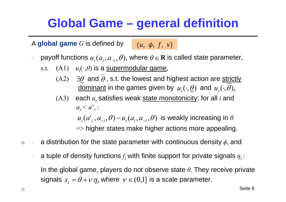#### **Global Game – general definition**

A **global game** *G* is defined by  $(u, \phi, f, v)$ 

- --  $\;\;$  payoff functions  $u_{_i}(a_{_i},a_{_{-i}},\theta),$  where  $\theta$   $\in$  **R** is called state parameter,
	- s.t. (A1)  $u_i(\cdot ,\theta)$  is a <u>supermodular game</u>,
		- $\left( \mathrm{A2}\right) \quad \exists\theta \; \textsf{and}\; \theta$  , s.t. the lowest and highest action are <u>strictly</u> <u>dominant</u> in the games given by  $\,u_{_i}(\cdot, \underline{\theta})\,$  and  $\,u_{_i}(\cdot, \theta),\,$
		- $\left( \mathrm{A3}\right)$   $\;$  each  $u_{i}$  satisfies weak <u>state monotonicity</u>: for all  $i$  and  $a_i < a_{i}$ <sup>c</sup>

 $u_i(a_i^*, a_{-i} , \theta) \!-\! u_i(a_i, a_{-i} , \theta)$  is weakly increasing in  $\theta.$ 

=> higher states make higher actions more appealing.

- a distribution for the state parameter with continuous density *ϕ*, and  $\circ$ -
	- - $\hbox{-}$  a tuple of density functions $f_i$  with finite support for private signals  $\eta_i$  : In the global game, players do not observe state *θ*. They receive private signals  $x_{\scriptscriptstyle i} = \theta$  +  $\nu$   $\eta_{\scriptscriptstyle i}$  where  $\;\nu \in (0,1]$  is a scale parameter.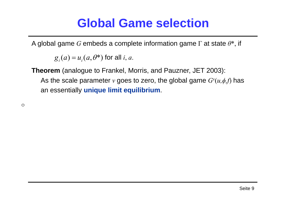#### **Global Game selection**

A global game *G* embeds a complete information game Γ at state *θ*\*, if

 $g_i(a)$  =  $u_i(a, \theta^*)$  for all *i*, *a*.

**Theorem** (analogue to Frankel, Morris, and Pauzner, JET 2003): As the scale parameter *ν* goes to zero, the global game *G ν*  $(u,\phi,f)$  has an essentially **unique limit equilibrium**.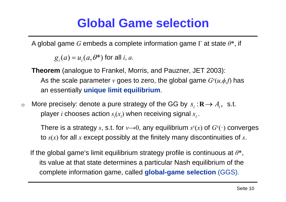#### **Global Game selection**

A global game *G* embeds a complete information game Γ at state *θ*\*, if

 $g_i(a)$  =  $u_i(a, \theta^*)$  for all *i*, *a*.

**Theorem** (analogue to Frankel, Morris, and Pauzner, JET 2003): As the scale parameter *ν* goes to zero, the global game *G ν*  $(u,\phi,f)$  has an essentially **unique limit equilibrium**.

More precisely: denote a pure strategy of the GG by  $s_i: \mathbf{R} \to A_i, \;$  s.t.  $\circ$ player  $i$  chooses action  $s_i(x_i)$  when receiving signal  $x_i$  .

There is a strategy *<sup>s</sup>*, s.t. for *ν* → 0, any equilibrium *s ν* (*x* ) of *G <sup>ν</sup>*(·) converges to *s* (*x* ) for all *x* except possibly at the finitely many discontinuities of *s*.

If the global game's limit equilibrium strategy profile is continuous at *θ*\*, its value at that state determines a particular Nash equilibrium of the complete information game, called **global-game selection** (GGS).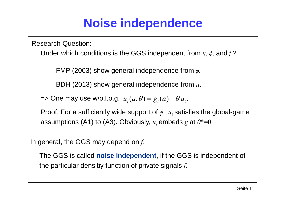#### **Noise independence**

Research Question:

Under which conditions is the GGS independent from *<sup>u</sup>*, *ϕ*, and *f*  ?

FMP (2003) show general independence from *ϕ.*

BDH (2013) show general independence from *u*.

=> One may use w/o.l.o.g.  $u_i(a, \theta) = g_i(a) + \theta \, a_i$ .

Proof: For a sufficiently wide support of  $\phi, \; u_i$  satisfies the global-game assumptions (A1) to (A3). Obviously, *ui* embeds *g* at *θ*\*=0.

In general, the GGS may depend on *f*.

The GGS is called **noise independent**, if the GGS is independent of the particular densitiy function of private signals *f*.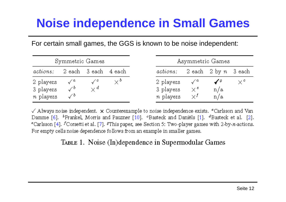## **Noise independence in Small Games**

For certain small games, the GGS is known to be noise independent:

|                                            | Symmetric Games |                      |    |                                     |                          | Asymmetric Games |    |
|--------------------------------------------|-----------------|----------------------|----|-------------------------------------|--------------------------|------------------|----|
| actions:                                   |                 | 2 each 3 each 4 each |    | actions: 2 each 2 by n 3 each       |                          |                  |    |
| 2 players<br>3 players<br><i>n</i> players |                 | γ¢                   | ∨° | 2 players<br>3 players<br>n players | $\times^e$<br>$\times^f$ | n/a<br>n/a       | ∨° |

 $\checkmark$  Always noise independent.  $\times$  Counterexample to noise independence exists. "Carlsson and Van Damme [6], <sup>b</sup>Frankel, Morris and Pauzner [10], <sup>o</sup>Basteck and Daniëls [1], <sup>d</sup>Basteck et al, [2], <sup>e</sup> Carlsson [4], <sup>f</sup>Corsetti et al. [7], <sup>g</sup>This paper, see Section 5: Two-player games with 2-by-n-actions. For empty cells noise dependence follows from an example in smaller games.

TABLE 1. Noise (In)dependence in Supermodular Games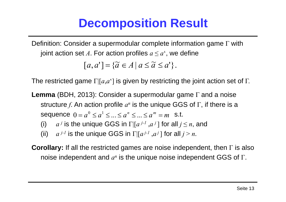## **Decomposition Result**

Definition: Consider a supermodular complete information game Γ with joint action set A. For action profiles  $a \leq a^*$ , we define

$$
[a, a'] = \{ \widetilde{a} \in A \mid a \le \widetilde{a} \le a' \}.
$$

The restricted game  $\Gamma[[a,a^\epsilon]$  is given by restricting the joint action set of  $\Gamma$ .

- **Lemma** (BDH, 2013): Consider a supermodular game Γ and a noise structure  $f$ . An action profile  $a^n$  is the unique GGS of  $\Gamma$ , if there is a  $\textsf{sequence} \;\; 0=a^0\leq a^1\leq...\leq a^n\leq...\leq a^m=m \;\; \textsf{ s.t.}$ 
	- (i)  $a^j$  is the unique GGS in  $\Gamma[[a^{j-l}, a^j]$  for all  $j \leq n,$  and
	- (ii)  $a^{j-l}$  is the unique GGS in  $\Gamma[[a^{j-l},a^j]$  for all  $j \geq n$ .

**Corollary:** If all the restricted games are noise independent, then Γ is also noise independent and  $a^n$  is the unique noise independent GGS of Γ.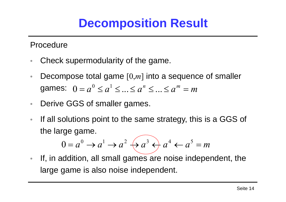## **Decomposition Result**

Procedure

- •Check supermodularity of the game.
- •• Decompose total game [0,*m*] into a sequence of smaller games:  $0=a^{\text{o}}\leq a^{\text{r}}\leq ... \leq a^{\text{r}}\leq ... \leq a^{\text{m}}=m$  $0$   $\angle$  1
- $\bullet$ Derive GGS of smaller games.
- $\bullet$  If all solutions point to the same strategy, this is a GGS of the large game.

$$
0 = a^0 \rightarrow a^1 \rightarrow a^2 \leftrightarrow a^3 \rightarrow a^4 \leftarrow a^5 = m
$$

 $\bullet$  If, in addition, all small games are noise independent, the large game is also noise independent.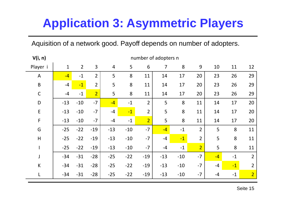Aquisition of a network good. Payoff depends on number of adopters.

| V(i, n)        | number of adopters n |                |                |                |       |                |                |       |                |      |      |                |  |  |
|----------------|----------------------|----------------|----------------|----------------|-------|----------------|----------------|-------|----------------|------|------|----------------|--|--|
| Player i       | $\mathbf{1}$         | $\overline{2}$ | $\overline{3}$ | $\overline{4}$ | 5     | 6              | $\overline{7}$ | 8     | 9              | 10   | 11   | 12             |  |  |
| $\overline{A}$ | $-4$                 | $-1$           | $\overline{2}$ | 5              | 8     | 11             | 14             | 17    | 20             | 23   | 26   | 29             |  |  |
| $\sf B$        | $-4$                 | $-1$           | $\overline{2}$ | 5              | 8     | 11             | 14             | 17    | 20             | 23   | 26   | 29             |  |  |
| $\mathsf C$    | $-4$                 | $-1$           | $\overline{2}$ | 5              | 8     | 11             | 14             | 17    | 20             | 23   | 26   | 29             |  |  |
| D              | $-13$                | $-10$          | $-7$           | $-4$           | $-1$  | $\overline{2}$ | 5              | 8     | 11             | 14   | 17   | 20             |  |  |
| $\mathsf E$    | $-13$                | $-10$          | $-7$           | $-4$           | $-1$  | $\overline{2}$ | 5              | 8     | 11             | 14   | 17   | 20             |  |  |
| F              | $-13$                | $-10$          | $-7$           | $-4$           | $-1$  | $\overline{2}$ | 5              | 8     | 11             | 14   | 17   | 20             |  |  |
| G              | $-25$                | $-22$          | $-19$          | $-13$          | $-10$ | $-7$           | $-4$           | $-1$  | $\overline{2}$ | 5    | 8    | 11             |  |  |
| H              | $-25$                | $-22$          | $-19$          | $-13$          | $-10$ | $-7$           | $-4$           | $-1$  | $\overline{2}$ | 5    | 8    | 11             |  |  |
|                | $-25$                | $-22$          | $-19$          | $-13$          | $-10$ | $-7$           | $-4$           | $-1$  | $\overline{2}$ | 5    | 8    | 11             |  |  |
| J              | $-34$                | $-31$          | $-28$          | $-25$          | $-22$ | $-19$          | $-13$          | $-10$ | $-7$           | $-4$ | $-1$ | $\overline{2}$ |  |  |
| К              | $-34$                | $-31$          | $-28$          | $-25$          | $-22$ | $-19$          | $-13$          | $-10$ | $-7$           | $-4$ | $-1$ | $\overline{2}$ |  |  |
| L              | $-34$                | $-31$          | $-28$          | $-25$          | $-22$ | $-19$          | $-13$          | $-10$ | $-7$           | $-4$ | $-1$ | $\overline{2}$ |  |  |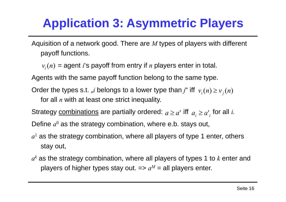Aquisition of a network good. There are *M* types of players with different payoff functions.

 $v_i(n)$  = agent *i*'s payoff from entry if *n* players enter in total.

Agents with the same payoff function belong to the same type.

Order the types s.t. "*i* belongs to a lower type than  $j$ " iff  $\vert v^{}_i(n)\geq v^{}_j(n)$ 

for all *n* with at least one strict inequality.

Strategy <u>combinations</u> are partially ordered:  $a \geq a^{\text{!`}}$  iff  $|a_{_i} \geq a{^\text{!`}}_{_i}$  for all *i*.

Define  $a^0$  as the strategy combination, where e.b. stays out,

- $a<sup>1</sup>$  as the strategy combination, where all players of type 1 enter, others stay out,
- $a^k$  as the strategy combination, where all players of types 1 to  $k$  enter and players of higher types stay out.  $\mathbf{a} = a^M = \mathbf{a}$ ll players enter.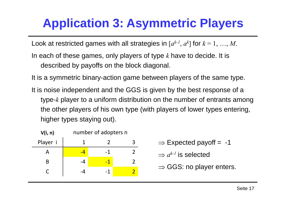Look at restricted games with all strategies in  $[a^{k\text{-}l},\,a^k]$  for  $k=1,\,\ldots,M.$ 

- In each of these games, only players of type *k* have to decide. It is described by payoffs on the block diagonal.
- It is a symmetric binary-action game between players of the same type.
- It is noise independent and the GGS is given by the best response of a type-*k* player to a uniform distribution on the number of entrants among the other players of his own type (with players of lower types entering, higher types staying out).

| V(i, n) |      | number of adopters n |                                      |
|---------|------|----------------------|--------------------------------------|
| Player  |      |                      | $\Rightarrow$ Expected payoff = -1   |
| А       | $-4$ |                      | $\Rightarrow$ $a^{k-l}$ is selected  |
| B       | -4   | -1                   |                                      |
|         | -4   |                      | $\Rightarrow$ GGS: no player enters. |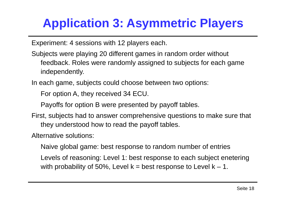Experiment: 4 sessions with 12 players each.

- Subjects were playing 20 different games in random order without feedback. Roles were randomly assigned to subjects for each game independently.
- In each game, subjects could choose between two options:

For option A, they received 34 ECU.

Payoffs for option B were presented by payoff tables.

First, subjects had to answer comprehensive questions to make sure that they understood how to read the payoff tables.

Alternative solutions:

Naive global game: best response to random number of entries

Levels of reasoning: Level 1: best response to each subject enetering with probability of 50%, Level  $k =$  best response to Level  $k - 1$ .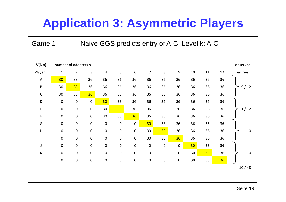Game 1 Naive GGS predicts entry of A-C, Level k: A-C

| V(i, n)     |              | number of adopters n |                  |                 |                  |                  |                 |             |             |                 |    |    | observed         |
|-------------|--------------|----------------------|------------------|-----------------|------------------|------------------|-----------------|-------------|-------------|-----------------|----|----|------------------|
| Player i    | $\mathbf{1}$ | $\overline{2}$       | 3                | $\overline{4}$  | 5                | 6                | $\overline{7}$  | 8           | $9\,$       | 10              | 11 | 12 | entries          |
| A           | 30           | 33                   | 36               | 36              | 36               | 36               | 36              | 36          | 36          | 36              | 36 | 36 |                  |
| $\sf B$     | 30           | 33                   | 36               | 36              | 36               | 36               | 36              | 36          | 36          | 36              | 36 | 36 | $9/12$           |
| $\mathsf C$ | 30           | 33                   | 36               | 36              | 36               | 36               | 36              | 36          | 36          | 36              | 36 | 36 |                  |
| D           | $\pmb{0}$    | $\pmb{0}$            | $\pmb{0}$        | 30 <sub>2</sub> | 33               | 36               | 36              | 36          | 36          | 36              | 36 | 36 |                  |
| E           | $\pmb{0}$    | $\pmb{0}$            | $\pmb{0}$        | 30              | 33               | 36               | 36              | 36          | 36          | 36              | 36 | 36 | 1/12             |
| $\mathsf F$ | $\pmb{0}$    | $\pmb{0}$            | $\pmb{0}$        | 30              | 33               | 36               | 36              | 36          | 36          | 36              | 36 | 36 |                  |
| G           | $\mathbf 0$  | $\pmb{0}$            | $\mathbf 0$      | $\mathbf 0$     | $\mathbf 0$      | $\mathbf 0$      | 30 <sub>o</sub> | 33          | 36          | 36              | 36 | 36 |                  |
| H           | $\pmb{0}$    | $\pmb{0}$            | $\boldsymbol{0}$ | $\pmb{0}$       | $\pmb{0}$        | $\mathbf 0$      | 30              | 33          | 36          | 36              | 36 | 36 | $\boldsymbol{0}$ |
|             | $\pmb{0}$    | $\pmb{0}$            | $\pmb{0}$        | $\mathbf 0$     | $\pmb{0}$        | $\mathbf 0$      | 30              | 33          | 36          | 36              | 36 | 36 |                  |
| J           | $\mathbf 0$  | $\mathbf 0$          | $\mathbf 0$      | $\mathbf 0$     | $\pmb{0}$        | $\mathbf 0$      | $\mathbf 0$     | $\mathbf 0$ | $\mathbf 0$ | 30 <sub>o</sub> | 33 | 36 |                  |
| К           | $\pmb{0}$    | $\pmb{0}$            | $\pmb{0}$        | $\pmb{0}$       | $\boldsymbol{0}$ | $\boldsymbol{0}$ | $\pmb{0}$       | $\pmb{0}$   | $\mathbf 0$ | 30              | 33 | 36 | $\boldsymbol{0}$ |
| L           | $\pmb{0}$    | $\pmb{0}$            | $\pmb{0}$        | $\pmb{0}$       | $\pmb{0}$        | $\mathbf 0$      | $\mathbf 0$     | $\pmb{0}$   | $\mathbf 0$ | 30              | 33 | 36 |                  |
|             |              |                      |                  |                 |                  |                  |                 |             |             |                 |    |    | 10/48            |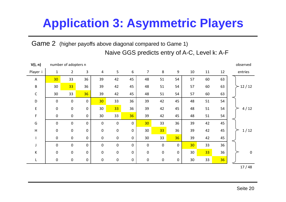Game 2 (higher payoffs above diagonal compared to Game 1) Naive GGS predicts entry of A-C, Level k: A-F

| V(i, n)       |              | number of adopters n |             |                  |                  |             |                  |           |                  |    |    |    | observed    |
|---------------|--------------|----------------------|-------------|------------------|------------------|-------------|------------------|-----------|------------------|----|----|----|-------------|
| Player i      | $\mathbf{1}$ | $\overline{2}$       | 3           | $\overline{4}$   | 5                | 6           | 7                | 8         | $\boldsymbol{9}$ | 10 | 11 | 12 | entries     |
| A             | 30           | 33                   | 36          | 39               | 42               | 45          | 48               | 51        | 54               | 57 | 60 | 63 |             |
| B             | 30           | 33 <sup>°</sup>      | 36          | 39               | 42               | 45          | 48               | 51        | 54               | 57 | 60 | 63 | 12/12       |
| $\mathsf C$   | 30           | 33                   | 36          | 39               | 42               | 45          | 48               | 51        | 54               | 57 | 60 | 63 |             |
| $\mathsf D$   | $\mathbf 0$  | $\bf{0}$             | $\mathbf 0$ | 30 <sub>o</sub>  | 33               | 36          | 39               | 42        | 45               | 48 | 51 | 54 |             |
| E             | $\pmb{0}$    | $\boldsymbol{0}$     | $\mathbf 0$ | 30               | 33               | 36          | 39               | 42        | 45               | 48 | 51 | 54 | 4/12        |
| F.            | $\mathbf 0$  | $\pmb{0}$            | $\mathbf 0$ | 30               | 33               | 36          | 39               | 42        | 45               | 48 | 51 | 54 |             |
| ${\mathsf G}$ | $\mathbf 0$  | $\boldsymbol{0}$     | $\mathbf 0$ | $\mathbf 0$      | $\boldsymbol{0}$ | $\mathbf 0$ | 30 <sub>2</sub>  | 33        | 36               | 39 | 42 | 45 |             |
| H             | $\mathbf 0$  | $\boldsymbol{0}$     | $\mathbf 0$ | $\mathbf 0$      | $\pmb{0}$        | $\pmb{0}$   | 30               | 33        | 36               | 39 | 42 | 45 | 1/12        |
|               | $\mathbf 0$  | $\mathbf 0$          | $\mathbf 0$ | $\boldsymbol{0}$ | $\pmb{0}$        | $\pmb{0}$   | 30               | 33        | 36               | 39 | 42 | 45 |             |
| J             | $\mathbf 0$  | $\boldsymbol{0}$     | $\mathbf 0$ | $\mathbf 0$      | $\pmb{0}$        | $\pmb{0}$   | $\boldsymbol{0}$ | $\pmb{0}$ | $\mathbf 0$      | 30 | 33 | 36 |             |
| K             | $\mathbf 0$  | $\boldsymbol{0}$     | $\mathbf 0$ | $\mathbf 0$      | $\pmb{0}$        | $\pmb{0}$   | $\mathbf 0$      | $\pmb{0}$ | 0                | 30 | 33 | 36 | $\mathbf 0$ |
| L             | $\mathbf 0$  | $\boldsymbol{0}$     | $\mathbf 0$ | $\boldsymbol{0}$ | $\pmb{0}$        | $\pmb{0}$   | $\mathbf 0$      | $\pmb{0}$ | $\mathbf 0$      | 30 | 33 | 36 |             |
|               |              |                      |             |                  |                  |             |                  |           |                  |    |    |    | 47140       |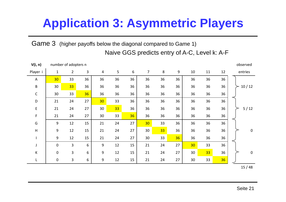Game 3 (higher payoffs below the diagonal compared to Game 1) Naive GGS predicts entry of A-C, Level k: A-F

| V(i, n)     |              | number of adopters n |    |                 |    |    |                |    |       |    |                 |    | observed    |
|-------------|--------------|----------------------|----|-----------------|----|----|----------------|----|-------|----|-----------------|----|-------------|
| Player i    | $\mathbf{1}$ | $\overline{2}$       | 3  | 4               | 5  | 6  | $\overline{7}$ | 8  | $9\,$ | 10 | 11              | 12 | entries     |
| A           | 30           | 33                   | 36 | 36              | 36 | 36 | 36             | 36 | 36    | 36 | 36              | 36 |             |
| B           | 30           | 33                   | 36 | 36              | 36 | 36 | 36             | 36 | 36    | 36 | 36              | 36 | 10/12       |
| $\mathsf C$ | 30           | 33                   | 36 | 36              | 36 | 36 | 36             | 36 | 36    | 36 | 36              | 36 |             |
| D           | 21           | 24                   | 27 | 30 <sub>2</sub> | 33 | 36 | 36             | 36 | 36    | 36 | 36              | 36 |             |
| E           | 21           | 24                   | 27 | 30              | 33 | 36 | 36             | 36 | 36    | 36 | 36              | 36 | $5/12$      |
| F.          | 21           | 24                   | 27 | 30              | 33 | 36 | 36             | 36 | 36    | 36 | 36              | 36 |             |
| G           | 9            | 12                   | 15 | 21              | 24 | 27 | 30             | 33 | 36    | 36 | 36              | 36 |             |
| H           | 9            | 12                   | 15 | 21              | 24 | 27 | 30             | 33 | 36    | 36 | 36              | 36 | $\mathbf 0$ |
|             | 9            | 12                   | 15 | 21              | 24 | 27 | 30             | 33 | 36    | 36 | 36              | 36 |             |
|             | $\mathbf 0$  | 3                    | 6  | 9               | 12 | 15 | 21             | 24 | 27    | 30 | 33              | 36 |             |
| K           | $\pmb{0}$    | 3                    | 6  | 9               | 12 | 15 | 21             | 24 | 27    | 30 | 33 <sup>°</sup> | 36 | $\mathbf 0$ |
| L           | $\mathbf 0$  | 3                    | 6  | 9               | 12 | 15 | 21             | 24 | 27    | 30 | 33              | 36 |             |
|             |              |                      |    |                 |    |    |                |    |       |    |                 |    | 15/48       |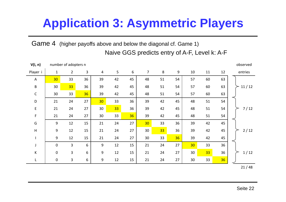Game 4 (higher payoffs above and below the diagonal cf. Game 1) Naive GGS predicts entry of A-F, Level k: A-F

| V(i, n)     |                 | number of adopters n |                |                 |    |    |                |    |    |                 |    |    | observed |
|-------------|-----------------|----------------------|----------------|-----------------|----|----|----------------|----|----|-----------------|----|----|----------|
| Player i    | $\mathbf{1}$    | $\overline{2}$       | $\overline{3}$ | 4               | 5  | 6  | $\overline{7}$ | 8  | 9  | 10              | 11 | 12 | entries  |
| A           | 30 <sub>2</sub> | 33                   | 36             | 39              | 42 | 45 | 48             | 51 | 54 | 57              | 60 | 63 |          |
| B           | 30              | 33                   | 36             | 39              | 42 | 45 | 48             | 51 | 54 | 57              | 60 | 63 | 11/12    |
| $\mathsf C$ | 30              | 33                   | 36             | 39              | 42 | 45 | 48             | 51 | 54 | 57              | 60 | 63 |          |
| D           | 21              | 24                   | 27             | 30 <sub>2</sub> | 33 | 36 | 39             | 42 | 45 | 48              | 51 | 54 |          |
| E           | 21              | 24                   | 27             | 30              | 33 | 36 | 39             | 42 | 45 | 48              | 51 | 54 | $7/12$   |
| F           | 21              | 24                   | 27             | 30              | 33 | 36 | 39             | 42 | 45 | 48              | 51 | 54 |          |
| G           | 9               | 12                   | 15             | 21              | 24 | 27 | 30             | 33 | 36 | 39              | 42 | 45 |          |
| H           | 9               | 12                   | 15             | 21              | 24 | 27 | 30             | 33 | 36 | 39              | 42 | 45 | $2/12$   |
|             | 9               | 12                   | 15             | 21              | 24 | 27 | 30             | 33 | 36 | 39              | 42 | 45 |          |
| J           | $\mathbf 0$     | $\overline{3}$       | 6              | 9               | 12 | 15 | 21             | 24 | 27 | 30 <sub>o</sub> | 33 | 36 |          |
| K           | 0               | $\overline{3}$       | 6              | 9               | 12 | 15 | 21             | 24 | 27 | 30              | 33 | 36 | 1/12     |
| L.          | $\mathbf 0$     | 3                    | 6              | 9               | 12 | 15 | 21             | 24 | 27 | 30              | 33 | 36 |          |
|             |                 |                      |                |                 |    |    |                |    |    |                 |    |    | 21/48    |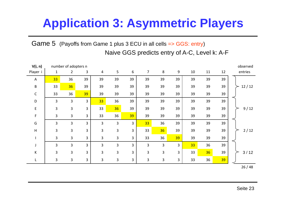Game 5 (Payoffs from Game 1 plus 3 ECU in all cells => GGS: entry) Naive GGS predicts entry of A-C, Level k: A-F

| V(i, n)     |                | number of adopters n |                |                |                |                |    |                |       |    |    |    | observed |
|-------------|----------------|----------------------|----------------|----------------|----------------|----------------|----|----------------|-------|----|----|----|----------|
| Player i    | $\mathbf{1}$   | $\overline{2}$       | 3              | $\overline{4}$ | 5              | 6              | 7  | 8              | $9\,$ | 10 | 11 | 12 | entries  |
| A           | 33             | 36                   | 39             | 39             | 39             | 39             | 39 | 39             | 39    | 39 | 39 | 39 |          |
| B           | 33             | 36                   | 39             | 39             | 39             | 39             | 39 | 39             | 39    | 39 | 39 | 39 | 12/12    |
| $\mathsf C$ | 33             | 36                   | 39             | 39             | 39             | 39             | 39 | 39             | 39    | 39 | 39 | 39 |          |
| D           | 3              | 3                    | 3              | 33             | 36             | 39             | 39 | 39             | 39    | 39 | 39 | 39 |          |
| E           | 3              | $\overline{3}$       | $\overline{3}$ | 33             | 36             | 39             | 39 | 39             | 39    | 39 | 39 | 39 | 9/12     |
| F.          | 3              | $\overline{3}$       | 3              | 33             | 36             | 39             | 39 | 39             | 39    | 39 | 39 | 39 |          |
| G           | 3              | 3                    | 3              | 3              | 3              | 3              | 33 | 36             | 39    | 39 | 39 | 39 |          |
| H           | 3              | 3                    | 3              | $\overline{3}$ | 3              | $\overline{3}$ | 33 | 36             | 39    | 39 | 39 | 39 | 2/12     |
|             | $\overline{3}$ | $\overline{3}$       | 3              | $\overline{3}$ | 3              | 3              | 33 | 36             | 39    | 39 | 39 | 39 |          |
|             | 3              | 3                    | 3              | 3              | 3              | 3              | 3  | 3              | 3     | 33 | 36 | 39 |          |
| К           | 3              | 3                    | 3              | 3              | 3              | 3              | 3  | $\overline{3}$ | 3     | 33 | 36 | 39 | $3/12$   |
|             | 3              | $\overline{3}$       | 3              | 3              | $\overline{3}$ | 3              | 3  | 3              | 3     | 33 | 36 | 39 |          |
|             |                |                      |                |                |                |                |    |                |       |    |    |    |          |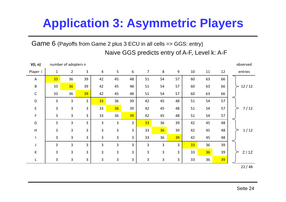Game 6 (Payoffs from Game 2 plus 3 ECU in all cells => GGS: entry) Naive GGS predicts entry of A-F, Level k: A-F

| V(i, n)      |                 | number of adopters n |                |                |                |                  |                |              |    |    |    |    | observed |
|--------------|-----------------|----------------------|----------------|----------------|----------------|------------------|----------------|--------------|----|----|----|----|----------|
| Player i     | $\mathbf{1}$    | $\overline{2}$       | 3              | 4              | 5              | $\boldsymbol{6}$ | $\overline{7}$ | $\,8\,$      | 9  | 10 | 11 | 12 | entries  |
| A            | 33 <sup>°</sup> | 36                   | 39             | 42             | 45             | 48               | 51             | 54           | 57 | 60 | 63 | 66 |          |
| $\sf B$      | 33              | 36                   | 39             | 42             | 45             | 48               | 51             | 54           | 57 | 60 | 63 | 66 | 12/12    |
| $\mathsf{C}$ | 33              | 36                   | 39             | 42             | 45             | 48               | 51             | 54           | 57 | 60 | 63 | 66 |          |
| D            | 3               | 3                    | $\overline{3}$ | 33             | 36             | 39               | 42             | 45           | 48 | 51 | 54 | 57 |          |
| E            | 3               | $\overline{3}$       | 3              | 33             | 36             | 39               | 42             | 45           | 48 | 51 | 54 | 57 | $7/12$   |
| F            | 3               | $\overline{3}$       | 3              | 33             | 36             | 39               | 42             | 45           | 48 | 51 | 54 | 57 |          |
| G            | 3               | 3                    | $\overline{3}$ | 3              | $\overline{3}$ | 3                | 33             | 36           | 39 | 42 | 45 | 48 |          |
| H            | 3               | $\overline{3}$       | $\overline{3}$ | 3              | 3              | $\overline{3}$   | 33             | 36           | 39 | 42 | 45 | 48 | 1/12     |
|              | 3               | $\overline{3}$       | $\overline{3}$ | $\overline{3}$ | 3              | $\mathbf{3}$     | 33             | 36           | 39 | 42 | 45 | 48 |          |
| J            | $\overline{3}$  | $\overline{3}$       | $\overline{3}$ | $\overline{3}$ | 3              | 3                | 3              | 3            | 3  | 33 | 36 | 39 |          |
| K            | 3               | $\overline{3}$       | 3              | 3              | 3              | 3                | 3              | 3            | 3  | 33 | 36 | 39 | 2/12     |
| L            | 3               | $\overline{3}$       | $\mathbf{3}$   | $\overline{3}$ | 3              | $\overline{3}$   | 3              | $\mathbf{3}$ | 3  | 33 | 36 | 39 |          |
|              |                 |                      |                |                |                |                  |                |              |    |    |    |    | 22/48    |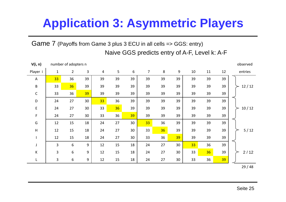Game 7 (Payoffs from Game 3 plus 3 ECU in all cells => GGS: entry) Naive GGS predicts entry of A-F, Level k: A-F

| V(i, n)     |                | number of adopters n |    |    |    |    |    |         |    |    |    |    | observed |
|-------------|----------------|----------------------|----|----|----|----|----|---------|----|----|----|----|----------|
| Player i    | $\mathbf{1}$   | $\overline{2}$       | 3  | 4  | 5  | 6  | 7  | $\,8\,$ | 9  | 10 | 11 | 12 | entries  |
| A           | 33             | 36                   | 39 | 39 | 39 | 39 | 39 | 39      | 39 | 39 | 39 | 39 |          |
| B           | 33             | 36                   | 39 | 39 | 39 | 39 | 39 | 39      | 39 | 39 | 39 | 39 | 12/12    |
| $\mathsf C$ | 33             | 36                   | 39 | 39 | 39 | 39 | 39 | 39      | 39 | 39 | 39 | 39 |          |
| $\mathsf D$ | 24             | 27                   | 30 | 33 | 36 | 39 | 39 | 39      | 39 | 39 | 39 | 39 |          |
| E           | 24             | 27                   | 30 | 33 | 36 | 39 | 39 | 39      | 39 | 39 | 39 | 39 | 10/12    |
| F           | 24             | 27                   | 30 | 33 | 36 | 39 | 39 | 39      | 39 | 39 | 39 | 39 |          |
| G           | 12             | 15                   | 18 | 24 | 27 | 30 | 33 | 36      | 39 | 39 | 39 | 39 |          |
| H           | 12             | 15                   | 18 | 24 | 27 | 30 | 33 | 36      | 39 | 39 | 39 | 39 | $5/12$   |
|             | 12             | 15                   | 18 | 24 | 27 | 30 | 33 | 36      | 39 | 39 | 39 | 39 |          |
| J           | $\overline{3}$ | $6\,$                | 9  | 12 | 15 | 18 | 24 | 27      | 30 | 33 | 36 | 39 |          |
| K           | 3              | $\boldsymbol{6}$     | 9  | 12 | 15 | 18 | 24 | 27      | 30 | 33 | 36 | 39 | 2/12     |
| L           | $\overline{3}$ | 6                    | 9  | 12 | 15 | 18 | 24 | 27      | 30 | 33 | 36 | 39 |          |
|             |                |                      |    |    |    |    |    |         |    |    |    |    | 29/48    |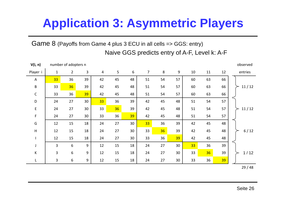Game 8 (Payoffs from Game 4 plus 3 ECU in all cells => GGS: entry) Naive GGS predicts entry of A-F, Level k: A-F

| V(i, n)     | number of adopters n |                |    |                 |                |    |                |    |    |    | observed |    |         |
|-------------|----------------------|----------------|----|-----------------|----------------|----|----------------|----|----|----|----------|----|---------|
| Player i    | $\mathbf{1}$         | $\overline{2}$ | 3  | 4               | $5\phantom{.}$ | 6  | $\overline{7}$ | 8  | 9  | 10 | 11       | 12 | entries |
| A           | 33                   | 36             | 39 | 42              | 45             | 48 | 51             | 54 | 57 | 60 | 63       | 66 |         |
| B           | 33                   | 36             | 39 | 42              | 45             | 48 | 51             | 54 | 57 | 60 | 63       | 66 | 11/12   |
| $\mathsf C$ | 33                   | 36             | 39 | 42              | 45             | 48 | 51             | 54 | 57 | 60 | 63       | 66 |         |
| D           | 24                   | 27             | 30 | 33 <sup>°</sup> | 36             | 39 | 42             | 45 | 48 | 51 | 54       | 57 |         |
| E           | 24                   | 27             | 30 | 33              | 36             | 39 | 42             | 45 | 48 | 51 | 54       | 57 | 11/12   |
| F           | 24                   | 27             | 30 | 33              | 36             | 39 | 42             | 45 | 48 | 51 | 54       | 57 |         |
| G           | 12                   | 15             | 18 | 24              | 27             | 30 | 33             | 36 | 39 | 42 | 45       | 48 |         |
| H           | 12                   | 15             | 18 | 24              | 27             | 30 | 33             | 36 | 39 | 42 | 45       | 48 | $6/12$  |
|             | 12                   | 15             | 18 | 24              | 27             | 30 | 33             | 36 | 39 | 42 | 45       | 48 |         |
| J           | $\overline{3}$       | 6              | 9  | 12              | 15             | 18 | 24             | 27 | 30 | 33 | 36       | 39 |         |
| К           | 3                    | 6              | 9  | 12              | 15             | 18 | 24             | 27 | 30 | 33 | 36       | 39 | 1/12    |
| L.          | 3                    | 6              | 9  | 12              | 15             | 18 | 24             | 27 | 30 | 33 | 36       | 39 |         |
|             |                      |                |    |                 |                |    |                |    |    |    |          |    | 29/48   |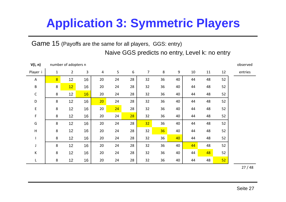Game 15 (Payoffs are the same for all players, GGS: entry) Naive GGS predicts no entry, Level k: no entry

| V(i, n)     | number of adopters n |                 |              |                 |    |    |                |         |                  |    | observed |    |         |
|-------------|----------------------|-----------------|--------------|-----------------|----|----|----------------|---------|------------------|----|----------|----|---------|
| Player i    | $\mathbf{1}$         | $2^{\circ}$     | $\mathbf{3}$ | $\overline{4}$  | 5  | 6  | $\overline{7}$ | $\,8\,$ | $\boldsymbol{9}$ | 10 | 11       | 12 | entries |
| A           | $\overline{8}$       | 12              | 16           | 20              | 24 | 28 | 32             | 36      | 40               | 44 | 48       | 52 |         |
| B           | 8                    | 12 <sub>2</sub> | 16           | 20              | 24 | 28 | 32             | 36      | 40               | 44 | 48       | 52 |         |
| $\mathsf C$ | 8                    | 12              | 16           | 20              | 24 | 28 | 32             | 36      | 40               | 44 | 48       | 52 |         |
| D           | 8                    | 12              | 16           | 20 <sub>2</sub> | 24 | 28 | 32             | 36      | 40               | 44 | 48       | 52 |         |
| E           | 8                    | 12              | 16           | 20              | 24 | 28 | 32             | 36      | 40               | 44 | 48       | 52 |         |
| F           | 8                    | 12              | 16           | 20              | 24 | 28 | 32             | 36      | 40               | 44 | 48       | 52 |         |
| G           | 8                    | 12              | 16           | 20              | 24 | 28 | 32             | 36      | 40               | 44 | 48       | 52 |         |
| H           | 8                    | 12              | 16           | 20              | 24 | 28 | 32             | 36      | 40               | 44 | 48       | 52 |         |
|             | 8                    | 12              | 16           | 20              | 24 | 28 | 32             | 36      | 40               | 44 | 48       | 52 |         |
| J           | 8                    | 12              | 16           | 20              | 24 | 28 | 32             | 36      | 40               | 44 | 48       | 52 |         |
| К           | 8                    | 12              | 16           | 20              | 24 | 28 | 32             | 36      | 40               | 44 | 48       | 52 |         |
| L           | 8                    | 12              | 16           | 20              | 24 | 28 | 32             | 36      | 40               | 44 | 48       | 52 |         |

27 / 48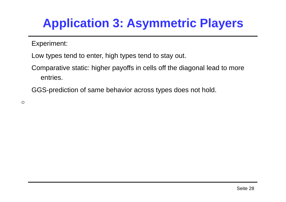Experiment:

Low types tend to enter, high types tend to stay out.

Comparative static: higher payoffs in cells off the diagonal lead to more entries.

GGS-prediction of same behavior across types does not hold.

 $\circ$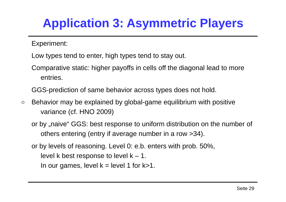Experiment:

- Low types tend to enter, high types tend to stay out.
- Comparative static: higher payoffs in cells off the diagonal lead to more entries.

GGS-prediction of same behavior across types does not hold.

- Behavior may be explained by global-game equilibrium with positive  $\circ$ variance (cf. HNO 2009)
	- or by "naive" GGS: best response to uniform distribution on the number of others entering (entry if average number in a row >34).

or by levels of reasoning. Level 0: e.b. enters with prob. 50%,

level k best response to level  $k - 1$ .

In our games, level  $k = level 1$  for  $k > 1$ .